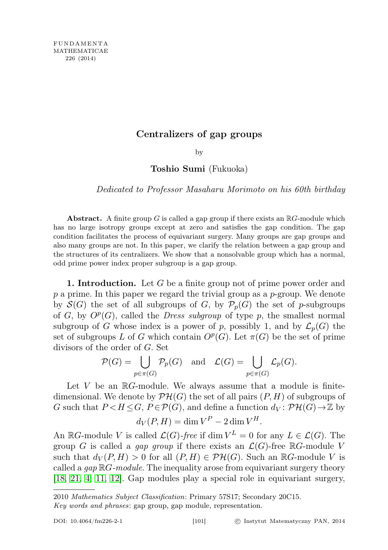## Centralizers of gap groups

by

Toshio Sumi (Fukuoka)

Dedicated to Professor Masaharu Morimoto on his 60th birthday

**Abstract.** A finite group G is called a gap group if there exists an  $\mathbb{R}G$ -module which has no large isotropy groups except at zero and satisfies the gap condition. The gap condition facilitates the process of equivariant surgery. Many groups are gap groups and also many groups are not. In this paper, we clarify the relation between a gap group and the structures of its centralizers. We show that a nonsolvable group which has a normal, odd prime power index proper subgroup is a gap group.

**1. Introduction.** Let G be a finite group not of prime power order and  $p$  a prime. In this paper we regard the trivial group as a  $p$ -group. We denote by  $\mathcal{S}(G)$  the set of all subgroups of G, by  $\mathcal{P}_p(G)$  the set of p-subgroups of  $G$ , by  $O<sup>p</sup>(G)$ , called the *Dress subgroup* of type  $p$ , the smallest normal subgroup of G whose index is a power of p, possibly 1, and by  $\mathcal{L}_p(G)$  the set of subgroups L of G which contain  $O^p(G)$ . Let  $\pi(G)$  be the set of prime divisors of the order of G. Set

$$
\mathcal{P}(G) = \bigcup_{p \in \pi(G)} \mathcal{P}_p(G) \quad \text{and} \quad \mathcal{L}(G) = \bigcup_{p \in \pi(G)} \mathcal{L}_p(G).
$$

Let  $V$  be an  $\mathbb{R}G$ -module. We always assume that a module is finitedimensional. We denote by  $\mathcal{PH}(G)$  the set of all pairs  $(P, H)$  of subgroups of G such that  $P < H \leq G$ ,  $P \in \mathcal{P}(G)$ , and define a function  $d_V : \mathcal{P} \mathcal{H}(G) \rightarrow \mathbb{Z}$  by

$$
d_V(P, H) = \dim V^P - 2\dim V^H.
$$

An  $\mathbb{R}G$ -module V is called  $\mathcal{L}(G)$ -free if dim  $V^L = 0$  for any  $L \in \mathcal{L}(G)$ . The group G is called a *gap group* if there exists an  $\mathcal{L}(G)$ -free RG-module V such that  $d_V(P, H) > 0$  for all  $(P, H) \in \mathcal{PH}(G)$ . Such an  $\mathbb{R}G$ -module V is called a  $gap \mathbb{R}G$ -module. The inequality arose from equivariant surgery theory[\[18,](#page-20-0) [21,](#page-20-1) [4,](#page-19-0) [11,](#page-19-1) [12\]](#page-19-2). Gap modules play a special role in equivariant surgery,

<sup>2010</sup> Mathematics Subject Classification: Primary 57S17; Secondary 20C15.

Key words and phrases: gap group, gap module, representation.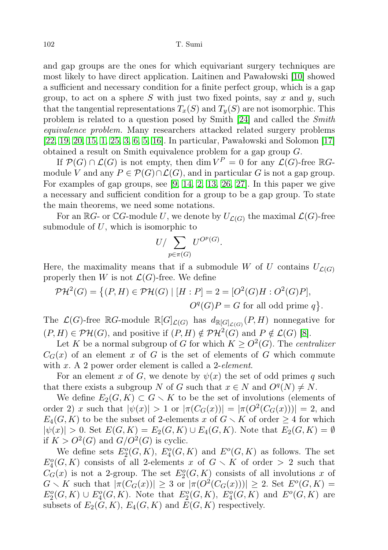and gap groups are the ones for which equivariant surgery techniques are most likely to have direct application. Laitinen and Pawałowski [\[10\]](#page-19-3) showed a sufficient and necessary condition for a finite perfect group, which is a gap group, to act on a sphere S with just two fixed points, say  $x$  and  $y$ , such that the tangential representations  $T_x(S)$  and  $T_y(S)$  are not isomorphic. This problem is related to a question posed by Smith [\[24\]](#page-20-2) and called the Smith equivalence problem. Many researchers attacked related surgery problems [\[22,](#page-20-3) [19,](#page-20-4) [20,](#page-20-5) [15,](#page-20-6) [1,](#page-19-4) [25,](#page-20-7) [3,](#page-19-5) [6,](#page-19-6) [5,](#page-19-7) [16\]](#page-20-8). In particular, Pawałowski and Solomon [\[17\]](#page-20-9) obtained a result on Smith equivalence problem for a gap group G.

If  $\mathcal{P}(G) \cap \mathcal{L}(G)$  is not empty, then  $\dim V^P = 0$  for any  $\mathcal{L}(G)$ -free  $\mathbb{R}G$ module V and any  $P \in \mathcal{P}(G) \cap \mathcal{L}(G)$ , and in particular G is not a gap group. For examples of gap groups, see [\[9,](#page-19-8) [14,](#page-20-10) [2,](#page-19-9) [13,](#page-20-11) [26,](#page-20-12) [27\]](#page-20-13). In this paper we give a necessary and sufficient condition for a group to be a gap group. To state the main theorems, we need some notations.

For an  $\mathbb{R}G$ - or  $\mathbb{C}G$ -module U, we denote by  $U_{\mathcal{L}(G)}$  the maximal  $\mathcal{L}(G)$ -free submodule of  $U$ , which is isomorphic to

$$
U/\sum_{p\in \pi(G)}U^{O^p(G)}.
$$

Here, the maximality means that if a submodule W of U contains  $U_{\mathcal{L}(G)}$ properly then W is not  $\mathcal{L}(G)$ -free. We define

$$
\mathcal{PH}^2(G) = \left\{ (P, H) \in \mathcal{PH}(G) \mid [H : P] = 2 = [O^2(G)H : O^2(G)P], \right\}
$$
  

$$
O^q(G)P = G \text{ for all odd prime } q \right\}.
$$

The  $\mathcal{L}(G)$ -free  $\mathbb{R}G$ -module  $\mathbb{R}[G]_{\mathcal{L}(G)}$  has  $d_{\mathbb{R}[G]_{\mathcal{L}(G)}}(P,H)$  nonnegative for  $(P, H) \in \mathcal{PH}(G)$ , and positive if  $(P, H) \notin \mathcal{PH}^2(G)$  and  $P \notin \mathcal{L}(G)$  [\[8\]](#page-19-10).

Let K be a normal subgroup of G for which  $K \geq O^2(G)$ . The centralizer  $C_G(x)$  of an element x of G is the set of elements of G which commute with x. A 2 power order element is called a 2-element.

For an element x of G, we denote by  $\psi(x)$  the set of odd primes q such that there exists a subgroup N of G such that  $x \in N$  and  $O<sup>q</sup>(N) \neq N$ .

We define  $E_2(G, K) \subset G \setminus K$  to be the set of involutions (elements of order 2) x such that  $|\psi(x)| > 1$  or  $|\pi(C_G(x))| = |\pi(O^2(C_G(x)))| = 2$ , and  $E_4(G, K)$  to be the subset of 2-elements x of  $G \setminus K$  of order  $\geq 4$  for which  $|\psi(x)| > 0$ . Set  $E(G, K) = E_2(G, K) \cup E_4(G, K)$ . Note that  $E_2(G, K) = \emptyset$ if  $K > O^2(G)$  and  $G/O^2(G)$  is cyclic.

<span id="page-1-0"></span>We define sets  $E_2^o(G,K)$ ,  $E_4^o(G,K)$  and  $E^o(G,K)$  as follows. The set  $E_4^o(G,K)$  consists of all 2-elements x of  $G \setminus K$  of order > 2 such that  $C_G(x)$  is not a 2-group. The set  $E_2^o(G, K)$  consists of all involutions x of  $G \setminus K$  such that  $|\pi(C_G(x))| \geq 3$  or  $|\pi(O^2(C_G(x)))| \geq 2$ . Set  $E^o(G,K) =$  $E_2^o(G,K) \cup E_4^o(G,K)$ . Note that  $E_2^o(G,K)$ ,  $E_4^o(G,K)$  and  $E^o(G,K)$  are subsets of  $E_2(G, K)$ ,  $E_4(G, K)$  and  $E(G, K)$  respectively.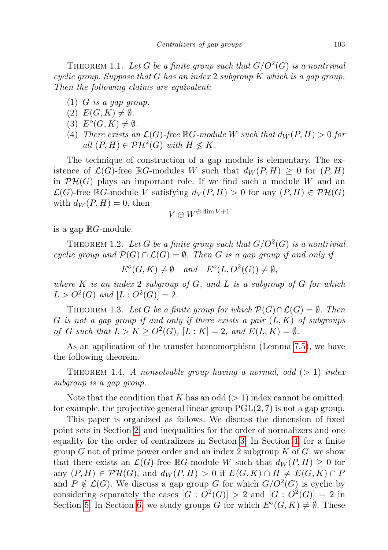THEOREM 1.1. Let G be a finite group such that  $G/O^2(G)$  is a nontrivial cyclic group. Suppose that G has an index 2 subgroup  $K$  which is a gap group. Then the following claims are equivalent:

- <span id="page-2-5"></span> $(1)$  *G* is a gap group.
- <span id="page-2-4"></span> $(2) E(G,K) \neq \emptyset.$
- <span id="page-2-3"></span>(3)  $E^o(G,K) \neq \emptyset$ .
- <span id="page-2-6"></span>(4) There exists an  $\mathcal{L}(G)$ -free  $\mathbb{R}G$ -module W such that  $d_W(P,H) > 0$  for all  $(P, H) \in \mathcal{PH}^2(G)$  with  $H \nleq K$ .

The technique of construction of a gap module is elementary. The existence of  $\mathcal{L}(G)$ -free RG-modules W such that  $d_W(P, H) \geq 0$  for  $(P, H)$ in  $\mathcal{PH}(G)$  plays an important role. If we find such a module W and an  $\mathcal{L}(G)$ -free RG-module V satisfying  $d_V(P,H) > 0$  for any  $(P,H) \in \mathcal{PH}(G)$ with  $d_W(P, H) = 0$ , then

$$
V\oplus W^{\oplus \dim V+1}
$$

is a gap  $\mathbb{R}$ *G*-module.

<span id="page-2-2"></span>THEOREM 1.2. Let G be a finite group such that  $G/O^2(G)$  is a nontrivial cyclic group and  $\mathcal{P}(G) \cap \mathcal{L}(G) = \emptyset$ . Then G is a gap group if and only if

 $E^{o}(G,K) \neq \emptyset$  and  $E^{o}(L, O^{2}(G)) \neq \emptyset$ ,

where  $K$  is an index 2 subgroup of  $G$ , and  $L$  is a subgroup of  $G$  for which  $L > O^2(G)$  and  $[L: O^2(G)] = 2$ .

<span id="page-2-0"></span>THEOREM 1.3. Let G be a finite group for which  $\mathcal{P}(G) \cap \mathcal{L}(G) = \emptyset$ . Then G is not a gap group if and only if there exists a pair  $(L, K)$  of subgroups of G such that  $L > K \geq O^2(G)$ ,  $[L: K] = 2$ , and  $E(L, K) = \emptyset$ .

As an application of the transfer homomorphism (Lemma [7.5\)](#page-17-0), we have the following theorem.

<span id="page-2-1"></span>THEOREM 1.4. A nonsolvable group having a normal, odd  $(>1)$  index subgroup is a gap group.

Note that the condition that K has an odd  $(> 1)$  index cannot be omitted: for example, the projective general linear group  $PGL(2, 7)$  is not a gap group.

This paper is organized as follows. We discuss the dimension of fixed point sets in Section [2,](#page-3-0) and inequalities for the order of normalizers and one equality for the order of centralizers in Section [3.](#page-4-0) In Section [4,](#page-8-0) for a finite group G not of prime power order and an index 2 subgroup K of  $G$ , we show that there exists an  $\mathcal{L}(G)$ -free RG-module W such that  $d_W(P, H) \geq 0$  for any  $(P, H) \in \mathcal{PH}(G)$ , and  $d_W(P, H) > 0$  if  $E(G, K) \cap H \neq E(G, K) \cap P$ and  $P \notin \mathcal{L}(G)$ . We discuss a gap group G for which  $G/O^2(G)$  is cyclic by considering separately the cases  $|G: O^2(G)| > 2$  and  $|G: O^2(G)| = 2$  in Section [5.](#page-8-1) In Section [6,](#page-12-0) we study groups G for which  $E^{o}(G,K) \neq \emptyset$ . These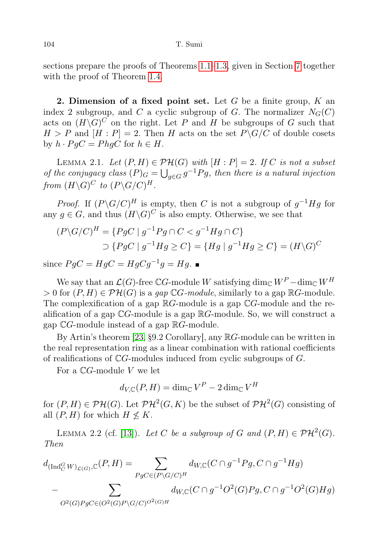sections prepare the proofs of Theorems [1.1–](#page-1-0)[1.3,](#page-2-0) given in Section [7](#page-14-0) together with the proof of Theorem [1.4.](#page-2-1)

<span id="page-3-0"></span>2. Dimension of a fixed point set. Let  $G$  be a finite group,  $K$  and index 2 subgroup, and C a cyclic subgroup of G. The normalizer  $N_G(C)$ acts on  $(H\backslash G)^C$  on the right. Let P and H be subgroups of G such that  $H > P$  and  $[H : P] = 2$ . Then H acts on the set  $P \backslash G/C$  of double cosets by  $h \cdot P q C = P h q C$  for  $h \in H$ .

<span id="page-3-2"></span>LEMMA 2.1. Let  $(P, H) \in \mathcal{PH}(G)$  with  $[H : P] = 2$ . If C is not a subset of the conjugacy class  $(P)_G = \bigcup_{g \in G} g^{-1}Pg$ , then there is a natural injection from  $(H\backslash G)^C$  to  $(P\backslash G/C)^H$ .

*Proof.* If  $(P\backslash G/C)^H$  is empty, then C is not a subgroup of  $g^{-1}Hg$  for any  $g \in G$ , and thus  $(H \backslash G)^C$  is also empty. Otherwise, we see that

$$
(P\backslash G/C)^H = \{PgC \mid g^{-1}Pg \cap C < g^{-1}Hg \cap C\}
$$
\n
$$
\supset \{PgC \mid g^{-1}Hg \ge C\} = \{Hg \mid g^{-1}Hg \ge C\} = (H\backslash G)^C
$$

since  $PgC = HgC = HgCg^{-1}g = Hg$ .

We say that an  $\mathcal{L}(G)$ -free CG-module W satisfying  $\dim_{\mathbb{C}} W^P - \dim_{\mathbb{C}} W^H$ > 0 for  $(P, H) \in \mathcal{PH}(G)$  is a gap CG-module, similarly to a gap RG-module. The complexification of a gap  $\mathbb{R}G$ -module is a gap  $\mathbb{C}G$ -module and the realification of a gap  $\mathbb{C}G$ -module is a gap  $\mathbb{R}G$ -module. So, we will construct a gap  $\mathbb{C}G$ -module instead of a gap  $\mathbb{R}G$ -module.

By Artin's theorem [\[23,](#page-20-14) §9.2 Corollary], any RG-module can be written in the real representation ring as a linear combination with rational coefficients of realifications of CG-modules induced from cyclic subgroups of G.

For a  $\mathbb{C}G$ -module V we let

 $d_{V,{\mathbb{C}}}(P,H)=\dim_{\mathbb{C}}V^{P}-2\dim_{\mathbb{C}}V^{H}$ 

for  $(P, H) \in \mathcal{PH}(G)$ . Let  $\mathcal{PH}^2(G, K)$  be the subset of  $\mathcal{PH}^2(G)$  consisting of all  $(P, H)$  for which  $H \nleq K$ .

<span id="page-3-1"></span>LEMMA 2.2 (cf. [\[13\]](#page-20-11)). Let C be a subgroup of G and  $(P, H) \in \mathcal{PH}^2(G)$ . Then

$$
d_{(\text{Ind}_{C}^{G}W)_{\mathcal{L}(G)},\mathbb{C}}(P,H) = \sum_{PgC \in (P \setminus G/C)^{H}} d_{W,\mathbb{C}}(C \cap g^{-1}Pg, C \cap g^{-1}Hg)
$$
  
- 
$$
\sum_{O^{2}(G)PgC \in (O^{2}(G)P \setminus G/C)^{O^{2}(G)H}} d_{W,\mathbb{C}}(C \cap g^{-1}O^{2}(G)Pg, C \cap g^{-1}O^{2}(G)Hg)
$$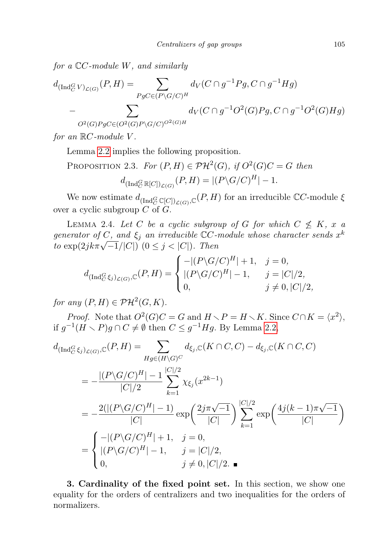for a  $\mathbb{C}C$ -module W, and similarly

$$
d_{(\text{Ind}_{C}^{G}V)_{\mathcal{L}(G)}}(P,H) = \sum_{PgC \in (P \backslash G/C)^{H}} d_{V}(C \cap g^{-1}Pg, C \cap g^{-1}Hg)
$$
  
- 
$$
\sum_{O^{2}(G)PgC \in (O^{2}(G)P \backslash G/C)^{O^{2}(G)H}} d_{V}(C \cap g^{-1}O^{2}(G)Pg, C \cap g^{-1}O^{2}(G)Hg)
$$

for an  $\mathbb{R}C$ -module V.

Lemma [2.2](#page-3-1) implies the following proposition.

PROPOSITION 2.3. For 
$$
(P, H) \in \mathcal{PH}^2(G)
$$
, if  $O^2(G)C = G$  then  

$$
d_{(\text{Ind}_{C}^{G} \mathbb{R}[C])_{\mathcal{L}(G)}}(P, H) = |(P \backslash G/C)^H| - 1.
$$

We now estimate  $d_{(\text{Ind}_C^G \mathbb{C}[C])_{\mathcal{L}(G)}, \mathbb{C}}(P,H)$  for an irreducible  $\mathbb{C}C$ -module  $\xi$ over a cyclic subgroup  $C$  of  $G$ .

<span id="page-4-1"></span>LEMMA 2.4. Let C be a cyclic subgroup of G for which  $C \nleq K$ , x a generator of C, and  $\xi_j$  an irreducible  $\mathbb{C}C$ -module whose character sends  $x^k$ generator of C, and  $\xi_j$  an irreduction  $C$  -<br>to  $\exp(2jk\pi\sqrt{-1}/|C|)$   $(0 \leq j < |C|)$ . Then

$$
d_{(\text{Ind}_{C}^{G}\xi_{j})_{\mathcal{L}(G)},\mathbb{C}}(P,H) = \begin{cases} -|(P\backslash G/C)^{H}| + 1, & j = 0, \\ |(P\backslash G/C)^{H}| - 1, & j = |C|/2, \\ 0, & j \neq 0, |C|/2, \end{cases}
$$

for any  $(P, H) \in \mathcal{PH}^2(G, K)$ .

*Proof.* Note that  $O^2(G)C = G$  and  $H \setminus P = H \setminus K$ . Since  $C \cap K = \langle x^2 \rangle$ , if  $g^{-1}(H \setminus P)g \cap C \neq \emptyset$  then  $C \leq g^{-1}Hg$ . By Lemma [2.2,](#page-3-1)

$$
d_{(\text{Ind}_{C}^{G}\xi_{j})_{\mathcal{L}(G)},\mathbb{C}}(P,H) = \sum_{Hg \in (H \setminus G)^{C}} d_{\xi_{j},\mathbb{C}}(K \cap C, C) - d_{\xi_{j},\mathbb{C}}(K \cap C, C)
$$
  
\n
$$
= -\frac{|(P \setminus G/C)^{H}| - 1}{|C|/2} \sum_{k=1}^{|C|/2} \chi_{\xi_{j}}(x^{2k-1})
$$
  
\n
$$
= -\frac{2(|(P \setminus G/C)^{H}| - 1)}{|C|} \exp\left(\frac{2j\pi\sqrt{-1}}{|C|}\right) \sum_{k=1}^{|C|/2} \exp\left(\frac{4j(k-1)\pi\sqrt{-1}}{|C|}\right)
$$
  
\n
$$
= \begin{cases} -|(P \setminus G/C)^{H}| + 1, & j = 0, \\ |(P \setminus G/C)^{H}| - 1, & j = |C|/2, \\ 0, & j \neq 0, |C|/2. \end{cases}
$$

<span id="page-4-0"></span>3. Cardinality of the fixed point set. In this section, we show one equality for the orders of centralizers and two inequalities for the orders of normalizers.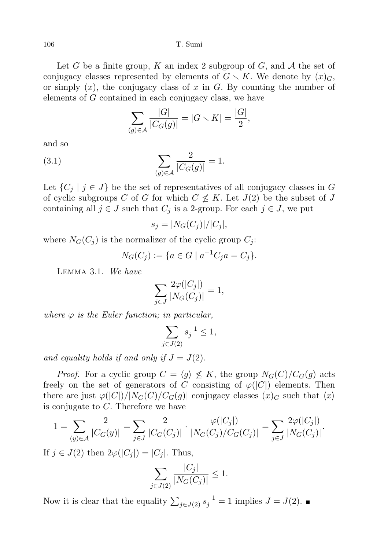Let G be a finite group, K an index 2 subgroup of G, and  $A$  the set of conjugacy classes represented by elements of  $G \setminus K$ . We denote by  $(x)_{G}$ , or simply  $(x)$ , the conjugacy class of x in G. By counting the number of elements of G contained in each conjugacy class, we have

<span id="page-5-1"></span>
$$
\sum_{(g)\in\mathcal{A}}\frac{|G|}{|C_G(g)|} = |G \setminus K| = \frac{|G|}{2},
$$

and so

(3.1) 
$$
\sum_{(g)\in\mathcal{A}}\frac{2}{|C_G(g)|}=1.
$$

Let  $\{C_j \mid j \in J\}$  be the set of representatives of all conjugacy classes in G of cyclic subgroups C of G for which  $C \nleq K$ . Let  $J(2)$  be the subset of J containing all  $j \in J$  such that  $C_j$  is a 2-group. For each  $j \in J$ , we put

$$
s_j = |N_G(C_j)|/|C_j|,
$$

where  $N_G(C_i)$  is the normalizer of the cyclic group  $C_i$ :

$$
N_G(C_j) := \{ a \in G \mid a^{-1}C_j a = C_j \}.
$$

<span id="page-5-2"></span>Lemma 3.1. We have

$$
\sum_{j\in J} \frac{2\varphi(|C_j|)}{|N_G(C_j)|} = 1,
$$

where  $\varphi$  is the Euler function; in particular,

$$
\sum_{j \in J(2)} s_j^{-1} \le 1,
$$

and equality holds if and only if  $J = J(2)$ .

*Proof.* For a cyclic group  $C = \langle g \rangle \nleq K$ , the group  $N_G(C)/C_G(g)$  acts freely on the set of generators of C consisting of  $\varphi(|C|)$  elements. Then there are just  $\varphi(|C|)/|N_G(C)/C_G(g)|$  conjugacy classes  $(x)$ <sub>G</sub> such that  $\langle x \rangle$ is conjugate to  $C$ . Therefore we have

$$
1 = \sum_{(y)\in\mathcal{A}}\frac{2}{|C_G(y)|} = \sum_{j\in J}\frac{2}{|C_G(C_j)|}\cdot\frac{\varphi(|C_j|)}{|N_G(C_j)/C_G(C_j)|} = \sum_{j\in J}\frac{2\varphi(|C_j|)}{|N_G(C_j)|}.
$$

If  $j \in J(2)$  then  $2\varphi(|C_j|) = |C_j|$ . Thus,

$$
\sum_{j \in J(2)} \frac{|C_j|}{|N_G(C_j)|} \le 1.
$$

<span id="page-5-0"></span>Now it is clear that the equality  $\sum_{j\in J(2)} s_j^{-1} = 1$  implies  $J = J(2)$ .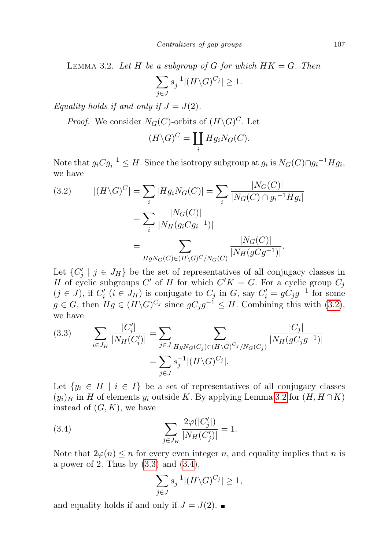LEMMA 3.2. Let H be a subgroup of G for which  $HK = G$ . Then

$$
\sum_{j\in J} s_j^{-1} |(H\backslash G)^{C_j}| \ge 1.
$$

Equality holds if and only if  $J = J(2)$ .

*Proof.* We consider  $N_G(C)$ -orbits of  $(H\backslash G)^C$ . Let

$$
(H \backslash G)^{C} = \coprod_{i} Hg_{i}N_{G}(C).
$$

Note that  $g_i C g_i^{-1} \leq H$ . Since the isotropy subgroup at  $g_i$  is  $N_G(C) \cap g_i^{-1} H g_i$ , we have

<span id="page-6-0"></span>(3.2) 
$$
|(H\backslash G)^C| = \sum_{i} |Hg_i N_G(C)| = \sum_{i} \frac{|N_G(C)|}{|N_G(C) \cap g_i^{-1} Hg_i|}
$$

$$
= \sum_{i} \frac{|N_G(C)|}{|N_H(g_i C g_i^{-1})|}
$$

$$
= \sum_{HgN_G(C) \in (H\backslash G)^C/N_G(C)} \frac{|N_G(C)|}{|N_H(g C g^{-1})|}.
$$

Let  $\{C'_j \mid j \in J_H\}$  be the set of representatives of all conjugacy classes in H of cyclic subgroups C' of H for which  $C'K = G$ . For a cyclic group  $C_j$  $(j \in J)$ , if  $C'_i$   $(i \in J_H)$  is conjugate to  $C_j$  in  $G$ , say  $C'_i = gC_jg^{-1}$  for some  $g \in G$ , then  $Hg \in (H \backslash G)^{C_j}$  since  $gC_jg^{-1} \leq H$ . Combining this with  $(3.2)$ , we have  $\sim$ 

<span id="page-6-1"></span>(3.3) 
$$
\sum_{i \in J_H} \frac{|C'_i|}{|N_H(C'_i)|} = \sum_{j \in J} \sum_{HgN_G(C_j) \in (H \setminus G)^{C_j}/N_G(C_j)} \frac{|C_j|}{|N_H(gC_jg^{-1})|}
$$

$$
= \sum_{j \in J} s_j^{-1} |(H \setminus G)^{C_j}|.
$$

Let  $\{y_i \in H \mid i \in I\}$  be a set of representatives of all conjugacy classes  $(y_i)_H$  in H of elements  $y_i$  outside K. By applying Lemma [3.2](#page-5-0) for  $(H, H \cap K)$ instead of  $(G, K)$ , we have

(3.4) 
$$
\sum_{j \in J_H} \frac{2\varphi(|C'_j|)}{|N_H(C'_j)|} = 1.
$$

Note that  $2\varphi(n) \leq n$  for every even integer n, and equality implies that n is a power of 2. Thus by  $(3.3)$  and  $(3.4)$ ,

<span id="page-6-2"></span>
$$
\sum_{j\in J} s_j^{-1} |(H\backslash G)^{C_j}| \ge 1,
$$

and equality holds if and only if  $J = J(2)$ .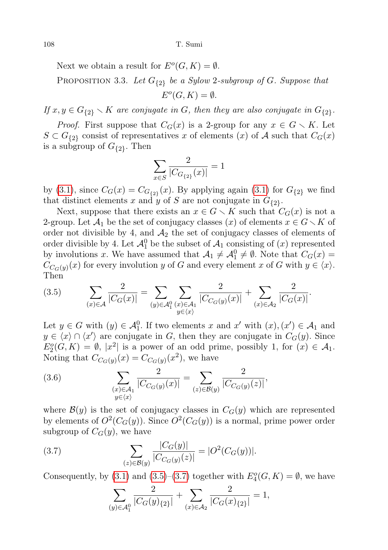Next we obtain a result for  $E^{o}(G, K) = \emptyset$ .

<span id="page-7-2"></span>PROPOSITION 3.3. Let  $G_{\{2\}}$  be a Sylow 2-subgroup of G. Suppose that  $E^{o}(G,K) = \emptyset.$ 

If  $x, y \in G_{\{2\}} \setminus K$  are conjugate in G, then they are also conjugate in  $G_{\{2\}}$ .

*Proof.* First suppose that  $C_G(x)$  is a 2-group for any  $x \in G \setminus K$ . Let  $S \subset G_{\{2\}}$  consist of representatives x of elements  $(x)$  of A such that  $C_G(x)$ is a subgroup of  $G_{\{2\}}$ . Then

$$
\sum_{x \in S} \frac{2}{|C_{G_{\{2\}}}(x)|} = 1
$$

by [\(3.1\)](#page-5-1), since  $C_G(x) = C_{G_{2}}(x)$ . By applying again (3.1) for  $G_{2}$  we find that distinct elements x and y of S are not conjugate in  $G_{2}$ .

Next, suppose that there exists an  $x \in G \setminus K$  such that  $C_G(x)$  is not a 2-group. Let  $\mathcal{A}_1$  be the set of conjugacy classes (x) of elements  $x \in G \setminus K$  of order not divisible by 4, and  $A_2$  the set of conjugacy classes of elements of order divisible by 4. Let  $\mathcal{A}_1^0$  be the subset of  $\mathcal{A}_1$  consisting of  $(x)$  represented by involutions x. We have assumed that  $A_1 \neq A_1^0 \neq \emptyset$ . Note that  $C_G(x)$  $C_{C_G(y)}(x)$  for every involution y of G and every element x of G with  $y \in \langle x \rangle$ . Then

<span id="page-7-0"></span>
$$
(3.5) \qquad \sum_{(x)\in\mathcal{A}}\frac{2}{|C_G(x)|}=\sum_{(y)\in\mathcal{A}_1^0}\sum_{(x)\in\mathcal{A}_1}\frac{2}{|C_{C_G(y)}(x)|}+\sum_{(x)\in\mathcal{A}_2}\frac{2}{|C_G(x)|}.
$$

Let  $y \in G$  with  $(y) \in \mathcal{A}_1^0$ . If two elements x and x' with  $(x), (x') \in \mathcal{A}_1$  and  $y \in \langle x \rangle \cap \langle x' \rangle$  are conjugate in G, then they are conjugate in  $C_G(y)$ . Since  $E_2^o(G,K) = \emptyset$ ,  $|x^2|$  is a power of an odd prime, possibly 1, for  $(x) \in \mathcal{A}_1$ . Noting that  $C_{C_G(y)}(x) = C_{C_G(y)}(x^2)$ , we have

(3.6) 
$$
\sum_{\substack{(x)\in\mathcal{A}_1\\y\in\langle x\rangle}}\frac{2}{|C_{C_G(y)}(x)|}=\sum_{(z)\in\mathcal{B}(y)}\frac{2}{|C_{C_G(y)}(z)|},
$$

where  $\mathcal{B}(y)$  is the set of conjugacy classes in  $C_G(y)$  which are represented by elements of  $O^2(C_G(y))$ . Since  $O^2(C_G(y))$  is a normal, prime power order subgroup of  $C_G(y)$ , we have

(3.7) 
$$
\sum_{(z)\in\mathcal{B}(y)}\frac{|C_G(y)|}{|C_{C_G(y)}(z)|}=|O^2(C_G(y))|.
$$

Consequently, by [\(3.1\)](#page-5-1) and [\(3.5\)](#page-7-0)–[\(3.7\)](#page-7-1) together with  $E_4^o(G,K) = \emptyset$ , we have

<span id="page-7-1"></span>
$$
\sum_{(y)\in\mathcal{A}_1^0}\frac{2}{|C_G(y)_{\{2\}}|}+\sum_{(x)\in\mathcal{A}_2}\frac{2}{|C_G(x)_{\{2\}}|}=1,
$$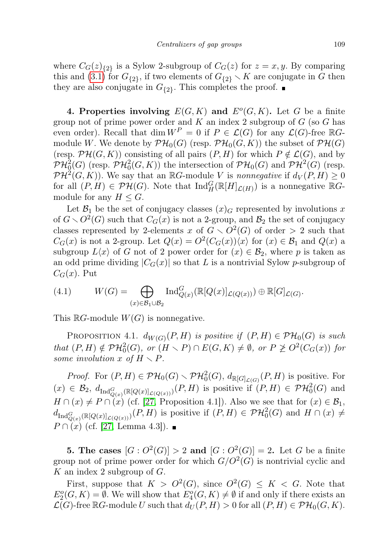where  $C_G(z)_{\{2\}}$  is a Sylow 2-subgroup of  $C_G(z)$  for  $z = x, y$ . By comparing this and [\(3.1\)](#page-5-1) for  $G_{\{2\}}$ , if two elements of  $G_{\{2\}} \setminus K$  are conjugate in G then they are also conjugate in  $G_{2}$ . This completes the proof.

<span id="page-8-0"></span>4. Properties involving  $E(G, K)$  and  $E^{o}(G, K)$ . Let G be a finite group not of prime power order and  $K$  an index 2 subgroup of  $G$  (so  $G$  has even order). Recall that dim  $W^P = 0$  if  $P \in \mathcal{L}(G)$  for any  $\mathcal{L}(G)$ -free  $\mathbb{R}G$ module W. We denote by  $\mathcal{PH}_0(G)$  (resp.  $\mathcal{PH}_0(G, K)$ ) the subset of  $\mathcal{PH}(G)$ (resp.  $\mathcal{PH}(G, K)$ ) consisting of all pairs  $(P, H)$  for which  $P \notin \mathcal{L}(G)$ , and by  $\mathcal{PH}^2_0(G)$  (resp.  $\mathcal{PH}^2_0(G,K)$ ) the intersection of  $\mathcal{PH}_0(G)$  and  $\mathcal{PH}^2(G)$  (resp.  $\mathcal{PH}^2(G,K)$ ). We say that an RG-module V is nonnegative if  $d_V(P,H) \geq 0$ for all  $(P, H) \in \mathcal{PH}(G)$ . Note that  $\text{Ind}_{H}^{G}(\mathbb{R}[H]_{\mathcal{L}(H)})$  is a nonnegative  $\mathbb{R}G$ module for any  $H \leq G$ .

Let  $\mathcal{B}_1$  be the set of conjugacy classes  $(x)_{G}$  represented by involutions x of  $G \setminus O^2(G)$  such that  $C_G(x)$  is not a 2-group, and  $\mathcal{B}_2$  the set of conjugacy classes represented by 2-elements x of  $G \setminus O^2(G)$  of order > 2 such that  $C_G(x)$  is not a 2-group. Let  $Q(x) = O^2(C_G(x))\langle x \rangle$  for  $(x) \in \mathcal{B}_1$  and  $Q(x)$  a subgroup  $L\langle x \rangle$  of G not of 2 power order for  $(x) \in \mathcal{B}_2$ , where p is taken as an odd prime dividing  $|C_G(x)|$  so that L is a nontrivial Sylow p-subgroup of  $C_G(x)$ . Put

<span id="page-8-2"></span>(4.1) 
$$
W(G) = \bigoplus_{(x)\in\mathcal{B}_1\cup\mathcal{B}_2} \text{Ind}_{Q(x)}^G(\mathbb{R}[Q(x)]_{\mathcal{L}(Q(x))}) \oplus \mathbb{R}[G]_{\mathcal{L}(G)}.
$$

This  $\mathbb{R}G$ -module  $W(G)$  is nonnegative.

PROPOSITION 4.1.  $d_{W(G)}(P,H)$  is positive if  $(P,H) \in \mathcal{PH}_0(G)$  is such that  $(P, H) \notin \mathcal{PH}_0^2(G)$ , or  $(H \setminus P) \cap E(G, K) \neq \emptyset$ , or  $P \not\geq O^2(C_G(x))$  for some involution x of  $H \setminus P$ .

*Proof.* For  $(P, H) \in \mathcal{PH}_0(G) \setminus \mathcal{PH}_0^2(G)$ ,  $d_{\mathbb{R}[G]_{\mathcal{L}(G)}}(P, H)$  is positive. For  $(x) \in \mathcal{B}_2$ ,  $d_{\text{Ind}_{Q(x)}^G(\mathbb{R}[Q(x)]_{\mathcal{L}(Q(x))})}(P,H)$  is positive if  $(P,H) \in \mathcal{PH}_0^2(G)$  and  $H \cap (x) \neq P \cap (x)$  (cf. [\[27,](#page-20-13) Proposition 4.1]). Also we see that for  $(x) \in \mathcal{B}_1$ ,  $d_{\text{Ind}_{Q(x)}^G(\mathbb{R}[Q(x)]_{\mathcal{L}(Q(x))})}(P,H)$  is positive if  $(P,H) \in \mathcal{PH}_0^2(G)$  and  $H \cap (x) \neq$  $P \cap (x)$  (cf. [\[27,](#page-20-13) Lemma 4.3]). ■

<span id="page-8-1"></span>**5.** The cases  $[G: O^2(G)] > 2$  and  $[G: O^2(G)] = 2$ . Let G be a finite group not of prime power order for which  $G/O^2(G)$  is nontrivial cyclic and K an index 2 subgroup of  $G$ .

First, suppose that  $K > O^2(G)$ , since  $O^2(G) \leq K < G$ . Note that  $E_2^o(G,K) = \emptyset$ . We will show that  $E_4^o(G,K) \neq \emptyset$  if and only if there exists an  $\mathcal{L}(G)$ -free RG-module U such that  $d_U(P, H) > 0$  for all  $(P, H) \in \mathcal{PH}_0(G, K)$ .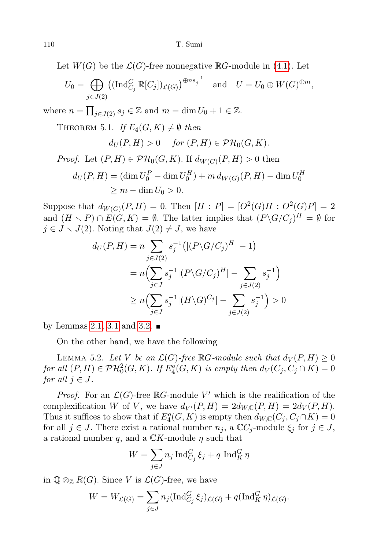Let  $W(G)$  be the  $\mathcal{L}(G)$ -free nonnegative  $\mathbb{R}G$ -module in [\(4.1\)](#page-8-2). Let

$$
U_0 = \bigoplus_{j \in J(2)} ((\operatorname{Ind}_{C_j}^G \mathbb{R}[C_j])_{\mathcal{L}(G)})^{\oplus ns_j^{-1}} \quad \text{and} \quad U = U_0 \oplus W(G)^{\oplus m},
$$

<span id="page-9-1"></span>where  $n = \prod_{j \in J(2)} s_j \in \mathbb{Z}$  and  $m = \dim U_0 + 1 \in \mathbb{Z}$ .

THEOREM 5.1. If  $E_4(G,K) \neq \emptyset$  then

$$
d_U(P, H) > 0 \quad \text{for } (P, H) \in \mathcal{PH}_0(G, K).
$$

H 0

*Proof.* Let 
$$
(P, H) \in \mathcal{PH}_0(G, K)
$$
. If  $d_{W(G)}(P, H) > 0$  then  
\n
$$
d_U(P, H) = (\dim U_0^P - \dim U_0^H) + m d_{W(G)}(P, H) - \dim U
$$
\n
$$
\geq m - \dim U_0 > 0.
$$

Suppose that  $d_{W(G)}(P,H) = 0$ . Then  $[H : P] = [O^2(G)H : O^2(G)P] = 2$ and  $(H \setminus P) \cap E(G, K) = \emptyset$ . The latter implies that  $(P \setminus G/C_j)^H = \emptyset$  for  $j \in J \setminus J(2)$ . Noting that  $J(2) \neq J$ , we have

$$
d_U(P, H) = n \sum_{j \in J(2)} s_j^{-1} \left( | (P \setminus G / C_j)^H | - 1 \right)
$$
  
=  $n \left( \sum_{j \in J} s_j^{-1} | (P \setminus G / C_j)^H | - \sum_{j \in J(2)} s_j^{-1} \right)$   

$$
\ge n \left( \sum_{j \in J} s_j^{-1} | (H \setminus G)^{C_j} | - \sum_{j \in J(2)} s_j^{-1} \right) > 0
$$

by Lemmas [2.1,](#page-3-2) [3.1](#page-5-2) and [3.2.](#page-5-0)  $\blacksquare$ 

On the other hand, we have the following

<span id="page-9-0"></span>LEMMA 5.2. Let V be an  $\mathcal{L}(G)$ -free RG-module such that  $d_V(P, H) \geq 0$ for all  $(P, H) \in \mathcal{PH}^2_0(G, K)$ . If  $E_4^o(G, K)$  is empty then  $d_V(C_j, C_j \cap K) = 0$ for all  $j \in J$ .

*Proof.* For an  $\mathcal{L}(G)$ -free  $\mathbb{R}G$ -module V' which is the realification of the complexification W of V, we have  $d_{V'}(P, H) = 2d_{W,\mathbb{C}}(P, H) = 2d_V(P, H)$ . Thus it suffices to show that if  $E_4^o(G, K)$  is empty then  $d_{W,\mathbb{C}}(C_j, C_j \cap K) = 0$ for all  $j \in J$ . There exist a rational number  $n_j$ , a  $\mathbb{C}C_j$ -module  $\xi_j$  for  $j \in J$ , a rational number q, and a  $\mathbb{C}K$ -module  $\eta$  such that

$$
W = \sum_{j \in J} n_j \operatorname{Ind}_{C_j}^G \xi_j + q \operatorname{Ind}_K^G \eta
$$

in  $\mathbb{Q} \otimes_{\mathbb{Z}} R(G)$ . Since V is  $\mathcal{L}(G)$ -free, we have

$$
W = W_{\mathcal{L}(G)} = \sum_{j \in J} n_j (\operatorname{Ind}_{C_j}^G \xi_j)_{\mathcal{L}(G)} + q(\operatorname{Ind}_{K}^G \eta)_{\mathcal{L}(G)}.
$$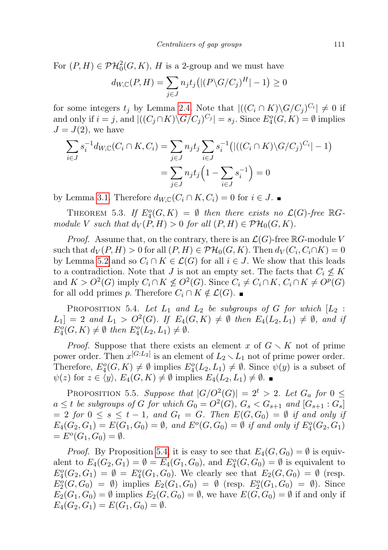For  $(P, H) \in \mathcal{PH}_0^2(G, K)$ , H is a 2-group and we must have

$$
d_{W,\mathbb{C}}(P,H) = \sum_{j \in J} n_j t_j \left( |(P \backslash G/C_j)^H| - 1 \right) \ge 0
$$

for some integers  $t_j$  by Lemma [2.4.](#page-4-1) Note that  $|((C_i \cap K) \backslash G/C_j)^{C_i}| \neq 0$  if and only if  $i = j$ , and  $|((C_j \cap K) \setminus G/C_j)^{C_j}| = s_j$ . Since  $E_4^o(G, K) = \emptyset$  implies  $J = J(2)$ , we have

$$
\sum_{i \in J} s_i^{-1} d_{W,\mathbb{C}}(C_i \cap K, C_i) = \sum_{j \in J} n_j t_j \sum_{i \in J} s_i^{-1} (|((C_i \cap K) \setminus G/C_j)^{C_i}| - 1)
$$

$$
= \sum_{j \in J} n_j t_j \left(1 - \sum_{i \in J} s_i^{-1}\right) = 0
$$

by Lemma [3.1.](#page-5-2) Therefore  $d_{W,\mathbb{C}}(C_i \cap K, C_i) = 0$  for  $i \in J$ .

<span id="page-10-1"></span>THEOREM 5.3. If  $E_4^o(G,K) = \emptyset$  then there exists no  $\mathcal{L}(G)$ -free  $\mathbb{R}G$ module V such that  $d_V(P, H) > 0$  for all  $(P, H) \in \mathcal{PH}_0(G, K)$ .

*Proof.* Assume that, on the contrary, there is an  $\mathcal{L}(G)$ -free  $\mathbb{R}G$ -module V such that  $d_V(P, H) > 0$  for all  $(P, H) \in \mathcal{PH}_0(G, K)$ . Then  $d_V(C_i, C_i \cap K) = 0$ by Lemma [5.2](#page-9-0) and so  $C_i \cap K \in \mathcal{L}(G)$  for all  $i \in J$ . We show that this leads to a contradiction. Note that J is not an empty set. The facts that  $C_i \nleq K$ and  $K > O^2(G)$  imply  $C_i \cap K \nleq O^2(G)$ . Since  $C_i \neq C_i \cap K$ ,  $C_i \cap K \neq O^p(G)$ for all odd primes p. Therefore  $C_i \cap K \notin \mathcal{L}(G)$ . ■

<span id="page-10-0"></span>PROPOSITION 5.4. Let  $L_1$  and  $L_2$  be subgroups of G for which  $[L_2 :$  $L_1$  = 2 and  $L_1 > O^2(G)$ . If  $E_4(G,K) \neq \emptyset$  then  $E_4(L_2,L_1) \neq \emptyset$ , and if  $E_4^o(G,K) \neq \emptyset$  then  $E_4^o(L_2,L_1) \neq \emptyset$ .

*Proof.* Suppose that there exists an element x of  $G \setminus K$  not of prime power order. Then  $x^{[G:L_2]}$  is an element of  $L_2 \setminus L_1$  not of prime power order. Therefore,  $E_4^o(G,K) \neq \emptyset$  implies  $E_4^o(L_2,L_1) \neq \emptyset$ . Since  $\psi(y)$  is a subset of  $\psi(z)$  for  $z \in \langle y \rangle$ ,  $E_4(G, K) \neq \emptyset$  implies  $E_4(L_2, L_1) \neq \emptyset$ .

PROPOSITION 5.5. Suppose that  $|G/O^2(G)| = 2^t > 2$ . Let  $G_a$  for  $0 \leq$  $a \leq t$  be subgroups of G for which  $G_0 = O^2(G)$ ,  $G_s < G_{s+1}$  and  $[G_{s+1} : G_s]$  $= 2$  for  $0 \leq s \leq t-1$ , and  $G_t = G$ . Then  $E(G, G_0) = \emptyset$  if and only if  $E_4(G_2, G_1) = E(G_1, G_0) = \emptyset$ , and  $E^o(G, G_0) = \emptyset$  if and only if  $E_4^o(G_2, G_1)$  $= E^{o}(G_1, G_0) = \emptyset.$ 

*Proof.* By Proposition [5.4,](#page-10-0) it is easy to see that  $E_4(G, G_0) = \emptyset$  is equivalent to  $E_4(G_2, G_1) = \emptyset = E_4(G_1, G_0)$ , and  $E_4^o(G, G_0) = \emptyset$  is equivalent to  $E_4^o(G_2, G_1) = \emptyset = E_4^o(G_1, G_0)$ . We clearly see that  $E_2(G, G_0) = \emptyset$  (resp.  $E_2^o(G, G_0) = \emptyset$  implies  $E_2(G_1, G_0) = \emptyset$  (resp.  $E_2^o(G_1, G_0) = \emptyset$ ). Since  $E_2(G_1, G_0) = \emptyset$  implies  $E_2(G, G_0) = \emptyset$ , we have  $E(G, G_0) = \emptyset$  if and only if  $E_4(G_2, G_1) = E(G_1, G_0) = \emptyset.$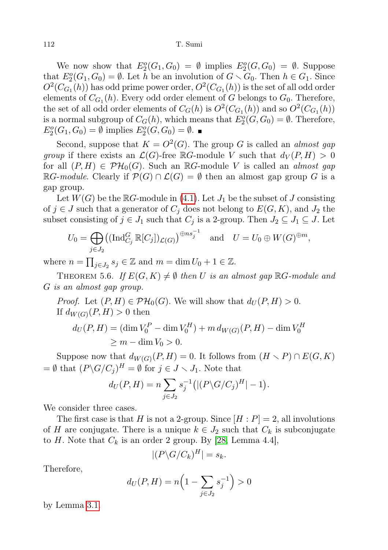We now show that  $E_2^o(G_1, G_0) = \emptyset$  implies  $E_2^o(G, G_0) = \emptyset$ . Suppose that  $E_2^o(G_1, G_0) = \emptyset$ . Let h be an involution of  $G \setminus G_0$ . Then  $h \in G_1$ . Since  $O^2(C_{G_1}(h))$  has odd prime power order,  $O^2(C_{G_1}(h))$  is the set of all odd order elements of  $C_{G_1}(h)$ . Every odd order element of G belongs to  $G_0$ . Therefore, the set of all odd order elements of  $C_G(h)$  is  $O^2(C_{G_1}(h))$  and so  $O^2(C_{G_1}(h))$ is a normal subgroup of  $C_G(h)$ , which means that  $E_2^o(G, G_0) = \emptyset$ . Therefore,  $E_2^o(G_1, G_0) = \emptyset$  implies  $E_2^o(G, G_0) = \emptyset$ .

Second, suppose that  $K = O^2(G)$ . The group G is called an *almost gap* group if there exists an  $\mathcal{L}(G)$ -free RG-module V such that  $d_V(P, H) > 0$ for all  $(P, H) \in \mathcal{PH}_0(G)$ . Such an RG-module V is called an *almost gap*  $\mathbb{R}G$ -module. Clearly if  $\mathcal{P}(G) \cap \mathcal{L}(G) = \emptyset$  then an almost gap group G is a gap group.

Let  $W(G)$  be the  $\mathbb{R}G$ -module in [\(4.1\)](#page-8-2). Let  $J_1$  be the subset of J consisting of  $j \in J$  such that a generator of  $C_j$  does not belong to  $E(G, K)$ , and  $J_2$  the subset consisting of  $j \in J_1$  such that  $C_j$  is a 2-group. Then  $J_2 \subseteq J_1 \subseteq J$ . Let

$$
U_0 = \bigoplus_{j \in J_2} ((\operatorname{Ind}_{C_j}^G \mathbb{R}[C_j])_{\mathcal{L}(G)})^{\oplus ns_j^{-1}} \quad \text{and} \quad U = U_0 \oplus W(G)^{\oplus m},
$$

where  $n = \prod_{j \in J_2} s_j \in \mathbb{Z}$  and  $m = \dim U_0 + 1 \in \mathbb{Z}$ .

<span id="page-11-0"></span>THEOREM 5.6. If  $E(G, K) \neq \emptyset$  then U is an almost gap  $\mathbb{R}G$ -module and G is an almost gap group.

*Proof.* Let  $(P, H) \in \mathcal{PH}_0(G)$ . We will show that  $d_U(P, H) > 0$ . If  $d_{W(G)}(P, H) > 0$  then

$$
d_U(P, H) = (\dim V_0^P - \dim V_0^H) + m d_{W(G)}(P, H) - \dim V_0^H
$$
  
\n
$$
\geq m - \dim V_0 > 0.
$$

Suppose now that  $d_{W(G)}(P, H) = 0$ . It follows from  $(H \setminus P) \cap E(G, K)$  $=\emptyset$  that  $(P\backslash G/C_j)^H = \emptyset$  for  $j \in J \setminus J_1$ . Note that

$$
d_U(P, H) = n \sum_{j \in J_2} s_j^{-1} (|(P \backslash G/C_j)^H| - 1).
$$

We consider three cases.

The first case is that H is not a 2-group. Since  $[H : P] = 2$ , all involutions of H are conjugate. There is a unique  $k \in J_2$  such that  $C_k$  is subconjugate to H. Note that  $C_k$  is an order 2 group. By [\[28,](#page-20-15) Lemma 4.4],

$$
|(P\backslash G/C_k)^H|=s_k.
$$

Therefore,

$$
d_U(P, H) = n\left(1 - \sum_{j \in J_2} s_j^{-1}\right) > 0
$$

by Lemma [3.1.](#page-5-2)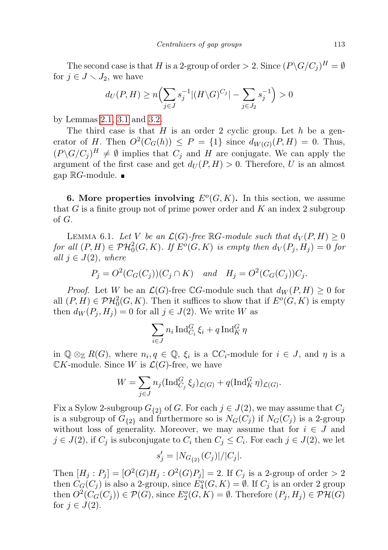The second case is that H is a 2-group of order  $> 2$ . Since  $(P\backslash G/C_j)^H = \emptyset$ for  $j \in J \setminus J_2$ , we have

$$
d_U(P, H) \ge n \Bigl( \sum_{j \in J} s_j^{-1} |(H \setminus G)^{C_j}| - \sum_{j \in J_2} s_j^{-1} \Bigr) > 0
$$

by Lemmas [2.1,](#page-3-2) [3.1](#page-5-2) and [3.2.](#page-5-0)

The third case is that  $H$  is an order 2 cyclic group. Let  $h$  be a generator of H. Then  $O^2(C_G(h)) \leq P = \{1\}$  since  $d_{W(G)}(P,H) = 0$ . Thus,  $(P\setminus G/C_j)^H \neq \emptyset$  implies that  $C_j$  and H are conjugate. We can apply the argument of the first case and get  $d_U(P, H) > 0$ . Therefore, U is an almost gap  $\mathbb{R}G$ -module.  $\blacksquare$ 

<span id="page-12-0"></span>6. More properties involving  $E^{o}(G, K)$ . In this section, we assume that  $G$  is a finite group not of prime power order and  $K$  an index 2 subgroup of G.

<span id="page-12-1"></span>LEMMA 6.1. Let V be an  $\mathcal{L}(G)$ -free RG-module such that  $d_V(P, H) \geq 0$ for all  $(P, H) \in \mathcal{PH}^2_0(G, K)$ . If  $E^o(G, K)$  is empty then  $d_V(P_j, H_j) = 0$  for all  $j \in J(2)$ , where

$$
P_j = O^2(C_G(C_j))(C_j \cap K) \quad and \quad H_j = O^2(C_G(C_j))C_j.
$$

*Proof.* Let W be an  $\mathcal{L}(G)$ -free CG-module such that  $d_W(P, H) \geq 0$  for all  $(P, H) \in \mathcal{PH}_0^2(G, K)$ . Then it suffices to show that if  $E^o(G, K)$  is empty then  $d_W(P_j, H_j) = 0$  for all  $j \in J(2)$ . We write W as

$$
\sum_{i \in J} n_i \operatorname{Ind}_{C_i}^G \xi_i + q \operatorname{Ind}_K^G \eta
$$

in  $\mathbb{Q} \otimes_{\mathbb{Z}} R(G)$ , where  $n_i, q \in \mathbb{Q}$ ,  $\xi_i$  is a  $\mathbb{C} C_i$ -module for  $i \in J$ , and  $\eta$  is a  $\mathbb{C}K$ -module. Since W is  $\mathcal{L}(G)$ -free, we have

$$
W = \sum_{j \in J} n_j (\operatorname{Ind}_{C_j}^G \xi_j)_{\mathcal{L}(G)} + q(\operatorname{Ind}_{K}^G \eta)_{\mathcal{L}(G)}.
$$

Fix a Sylow 2-subgroup  $G_{\{2\}}$  of G. For each  $j \in J(2)$ , we may assume that  $C_j$ is a subgroup of  $G_{\{2\}}$  and furthermore so is  $N_G(C_i)$  if  $N_G(C_i)$  is a 2-group without loss of generality. Moreover, we may assume that for  $i \in J$  and  $j \in J(2)$ , if  $C_j$  is subconjugate to  $C_i$  then  $C_j \leq C_i$ . For each  $j \in J(2)$ , we let

$$
s'_{j} = |N_{G_{\{2\}}}(C_{j})|/|C_{j}|.
$$

Then  $[H_j : P_j] = [O^2(G)H_j : O^2(G)P_j] = 2$ . If  $C_j$  is a 2-group of order  $> 2$ then  $C_{\mathcal{G}}(C_j)$  is also a 2-group, since  $E_4^o(G,K) = \emptyset$ . If  $C_j$  is an order 2 group then  $O^2(C_G(C_j)) \in \mathcal{P}(G)$ , since  $E_2^o(G, K) = \emptyset$ . Therefore  $(P_j, H_j) \in \mathcal{PH}(G)$ for  $j \in J(2)$ .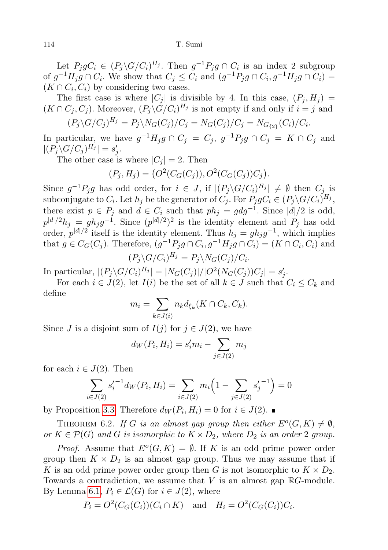Let  $P_j g C_i \in (P_j \backslash G/C_i)^{H_j}$ . Then  $g^{-1} P_j g \cap C_i$  is an index 2 subgroup of  $g^{-1}H_jg \cap C_i$ . We show that  $C_j \leq C_i$  and  $(g^{-1}P_jg \cap C_i, g^{-1}H_jg \cap C_i)$  $(K \cap C_i, C_i)$  by considering two cases.

The first case is where  $|C_j|$  is divisible by 4. In this case,  $(P_j, H_j)$  =  $(K \cap C_j, C_j)$ . Moreover,  $(P_j \backslash G/C_i)^{H_j}$  is not empty if and only if  $i = j$  and

$$
(P_j \backslash G/C_j)^{H_j} = P_j \backslash N_G(C_j)/C_j = N_G(C_j)/C_j = N_{G_{\{2\}}}(C_i)/C_i.
$$

In particular, we have  $g^{-1}H_jg \cap C_j = C_j$ ,  $g^{-1}P_jg \cap C_j = K \cap C_j$  and  $|(P_j\backslash G/C_j)^{H_j}|=s'_j.$ 

The other case is where  $|C_j| = 2$ . Then

$$
(P_j, H_j) = (O^2(C_G(C_j)), O^2(C_G(C_j))C_j).
$$

Since  $g^{-1}P_jg$  has odd order, for  $i \in J$ , if  $|(P_j\backslash G/C_i)^{H_j}| \neq \emptyset$  then  $C_j$  is subconjugate to  $C_i$ . Let  $h_j$  be the generator of  $C_j$ . For  $P_j g C_i \in (P_j \backslash G/C_i)^{H_j}$ , there exist  $p \in P_j$  and  $d \in C_i$  such that  $ph_j = g dg^{-1}$ . Since  $|d|/2$  is odd,  $p^{|d|/2}h_j = gh_jg^{-1}$ . Since  $(p^{|d|/2})^2$  is the identity element and  $P_j$  has odd order,  $p^{|d|/2}$  itself is the identity element. Thus  $h_j = gh_jg^{-1}$ , which implies that  $g \in C_G(C_j)$ . Therefore,  $(g^{-1}P_j g \cap C_i, g^{-1}H_j g \cap C_i) = (K \cap C_i, C_i)$  and  $(P_j \backslash G/C_i)^{H_j} = P_j \backslash N_G(C_j)/C_i.$ 

In particular,  $|(P_j \backslash G/C_i)^{H_j}| = |N_G(C_j)|/|O^2(N_G(C_j))C_j| = s'_j$ .

For each  $i \in J(2)$ , let  $I(i)$  be the set of all  $k \in J$  such that  $C_i \leq C_k$  and define

$$
m_i = \sum_{k \in J(i)} n_k d_{\xi_k}(K \cap C_k, C_k).
$$

Since J is a disjoint sum of  $I(j)$  for  $j \in J(2)$ , we have

$$
d_W(P_i, H_i) = s'_i m_i - \sum_{j \in J(2)} m_j
$$

for each  $i \in J(2)$ . Then

$$
\sum_{i \in J(2)} s_i'^{-1} d_W(P_i, H_i) = \sum_{i \in J(2)} m_i \left( 1 - \sum_{j \in J(2)} s_j'^{-1} \right) = 0
$$

by Proposition [3.3.](#page-7-2) Therefore  $d_W(P_i, H_i) = 0$  for  $i \in J(2)$ .

<span id="page-13-0"></span>THEOREM 6.2. If G is an almost gap group then either  $E^{o}(G,K) \neq \emptyset$ , or  $K \in \mathcal{P}(G)$  and G is isomorphic to  $K \times D_2$ , where  $D_2$  is an order 2 group.

*Proof.* Assume that  $E^{o}(G, K) = \emptyset$ . If K is an odd prime power order group then  $K \times D_2$  is an almost gap group. Thus we may assume that if K is an odd prime power order group then G is not isomorphic to  $K \times D_2$ . Towards a contradiction, we assume that  $V$  is an almost gap  $\mathbb{R}G$ -module. By Lemma [6.1,](#page-12-1)  $P_i \in \mathcal{L}(G)$  for  $i \in J(2)$ , where

$$
P_i = O^2(C_G(C_i))(C_i \cap K) \quad \text{and} \quad H_i = O^2(C_G(C_i))C_i.
$$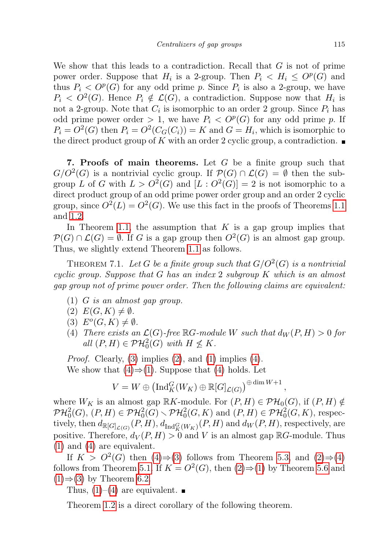We show that this leads to a contradiction. Recall that  $G$  is not of prime power order. Suppose that  $H_i$  is a 2-group. Then  $P_i \leq H_i \leq O^p(G)$  and thus  $P_i < O^p(G)$  for any odd prime p. Since  $P_i$  is also a 2-group, we have  $P_i < O^2(G)$ . Hence  $P_i \notin \mathcal{L}(G)$ , a contradiction. Suppose now that  $H_i$  is not a 2-group. Note that  $C_i$  is isomorphic to an order 2 group. Since  $P_i$  has odd prime power order  $> 1$ , we have  $P_i < O^p(G)$  for any odd prime p. If  $P_i = O^2(G)$  then  $P_i = O^2(C_G(C_i)) = K$  and  $G = H_i$ , which is isomorphic to the direct product group of K with an order 2 cyclic group, a contradiction.  $\blacksquare$ 

<span id="page-14-0"></span>**7. Proofs of main theorems.** Let  $G$  be a finite group such that  $G/O^2(G)$  is a nontrivial cyclic group. If  $\mathcal{P}(G) \cap \mathcal{L}(G) = \emptyset$  then the subgroup L of G with  $L > O^2(G)$  and  $[L: O^2(G)] = 2$  is not isomorphic to a direct product group of an odd prime power order group and an order 2 cyclic group, since  $O^2(L) = O^2(G)$ . We use this fact in the proofs of Theorems [1.1](#page-1-0) and [1.2.](#page-2-2)

In Theorem [1.1,](#page-1-0) the assumption that  $K$  is a gap group implies that  $\mathcal{P}(G) \cap \mathcal{L}(G) = \emptyset$ . If G is a gap group then  $O^2(G)$  is an almost gap group. Thus, we slightly extend Theorem [1.1](#page-1-0) as follows.

THEOREM 7.1. Let G be a finite group such that  $G/O^2(G)$  is a nontrivial cyclic group. Suppose that G has an index 2 subgroup K which is an almost gap group not of prime power order. Then the following claims are equivalent:

- (1) G is an almost gap group.
- $(2) E(G,K) \neq \emptyset.$
- (3)  $E^o(G,K) \neq \emptyset$ .
- (4) There exists an  $\mathcal{L}(G)$ -free  $\mathbb{R}G$ -module W such that  $d_W(P, H) > 0$  for all  $(P, H) \in \mathcal{PH}_0^2(G)$  with  $H \nleq K$ .

*Proof.* Clearly, [\(3\)](#page-2-3) implies  $(2)$ , and  $(1)$  implies  $(4)$ . We show that  $(4) \Rightarrow (1)$  $(4) \Rightarrow (1)$  $(4) \Rightarrow (1)$ . Suppose that  $(4)$  holds. Let

$$
V = W \oplus \left( \mathrm{Ind}_{K}^{G}(W_{K}) \oplus \mathbb{R}[G]_{\mathcal{L}(G)} \right)^{\oplus \dim W + 1},
$$

where  $W_K$  is an almost gap  $\mathbb{R}K$ -module. For  $(P, H) \in \mathcal{PH}_0(G)$ , if  $(P, H) \notin$  $\mathcal{PH}^{2}_{0}(G), (P, H) \in \mathcal{PH}^{2}_{0}(G) \setminus \mathcal{PH}^{2}_{0}(G, K)$  and  $(P, H) \in \mathcal{PH}^{2}_{0}(G, K)$ , respectively, then  $d_{\mathbb{R}[G]_{\mathcal{L}(G)}}(P,H)$ ,  $d_{\text{Ind}_{K}^G(W_K)}(P,H)$  and  $d_W(P,H)$ , respectively, are positive. Therefore,  $d_V(P, H) > 0$  and V is an almost gap RG-module. Thus [\(1\)](#page-2-5) and [\(4\)](#page-2-6) are equivalent.

If  $K > O^2(G)$  then  $(4) \Rightarrow (3)$  $(4) \Rightarrow (3)$  $(4) \Rightarrow (3)$  follows from Theorem [5.3,](#page-10-1) and  $(2) \Rightarrow (4)$  $(2) \Rightarrow (4)$ follows from Theorem [5.1.](#page-9-1) If  $K = O^2(G)$ , then  $(2) \Rightarrow (1)$  $(2) \Rightarrow (1)$  $(2) \Rightarrow (1)$  by Theorem [5.6](#page-11-0) and  $(1) \Rightarrow (3)$  $(1) \Rightarrow (3)$  $(1) \Rightarrow (3)$  by Theorem [6.2.](#page-13-0)

Thus,  $(1)-(4)$  $(1)-(4)$  $(1)-(4)$  are equivalent.

<span id="page-14-1"></span>Theorem [1.2](#page-2-2) is a direct corollary of the following theorem.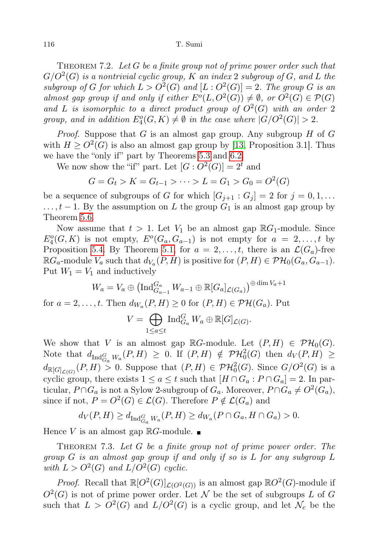THEOREM 7.2. Let  $G$  be a finite group not of prime power order such that  $G/O^2(G)$  is a nontrivial cyclic group, K an index 2 subgroup of G, and L the subgroup of G for which  $L > O^2(G)$  and  $[L: O^2(G)] = 2$ . The group G is an almost gap group if and only if either  $E^{o}(L, O^{2}(G)) \neq \emptyset$ , or  $O^{2}(G) \in \mathcal{P}(G)$ and L is isomorphic to a direct product group of  $O^2(G)$  with an order 2 group, and in addition  $E_4^o(G,K) \neq \emptyset$  in the case where  $|G/O^2(G)| > 2$ .

*Proof.* Suppose that  $G$  is an almost gap group. Any subgroup  $H$  of  $G$ with  $H \geq O^2(G)$  is also an almost gap group by [\[13,](#page-20-11) Proposition 3.1]. Thus we have the "only if" part by Theorems [5.3](#page-10-1) and [6.2.](#page-13-0)

We now show the "if" part. Let  $[G: O^2(G)] = 2^t$  and

$$
G = G_t > K = G_{t-1} > \dots > L = G_1 > G_0 = O^2(G)
$$

be a sequence of subgroups of G for which  $[G_{j+1} : G_j] = 2$  for  $j = 0, 1, \ldots$  $\dots, t-1$ . By the assumption on L the group  $G_1$  is an almost gap group by Theorem [5.6.](#page-11-0)

Now assume that  $t > 1$ . Let  $V_1$  be an almost gap  $\mathbb{R}G_1$ -module. Since  $E_4^o(G,K)$  is not empty,  $E^o(G_a,G_{a-1})$  is not empty for  $a=2,\ldots,t$  by Proposition [5.4.](#page-10-0) By Theorem [5.1,](#page-9-1) for  $a = 2, \ldots, t$ , there is an  $\mathcal{L}(G_a)$ -free  $\mathbb{R}G_a$ -module  $V_a$  such that  $d_{V_a}(P,H)$  is positive for  $(P,H) \in \mathcal{PH}_0(G_a,G_{a-1})$ . Put  $W_1 = V_1$  and inductively

$$
W_a = V_a \oplus \left( \operatorname{Ind}_{G_{a-1}}^{G_a} W_{a-1} \oplus \mathbb{R}[G_a]_{\mathcal{L}(G_a)} \right) \stackrel{\oplus \dim V_a + 1}{\longrightarrow}
$$
  
*t* Then  $d_{W_a}(P, H) > 0$  for  $(P, H) \in \mathcal{P} \mathcal{H}(C)$ . But

for  $a = 2, \ldots, t$ . Then  $d_{W_a}(P, H) \geq 0$  for  $(P, H) \in \mathcal{PH}(G_a)$ . Put

$$
V = \bigoplus_{1 \leq a \leq t} \operatorname{Ind}_{G_a}^G W_a \oplus \mathbb{R}[G]_{\mathcal{L}(G)}.
$$

We show that V is an almost gap  $\mathbb{R}G$ -module. Let  $(P, H) \in \mathcal{PH}_0(G)$ . Note that  $d_{\text{Ind}_{G_a}^G W_a}(P,H) \geq 0$ . If  $(P,H) \notin \mathcal{PH}_0^2(G)$  then  $d_V(P,H) \geq$  $d_{\mathbb{R}[G]_{\mathcal{L}(G)}}(P,H) > 0$ . Suppose that  $(P,H) \in \mathcal{PH}^2_0(G)$ . Since  $G/O^2(G)$  is a cyclic group, there exists  $1 \le a \le t$  such that  $[H \cap G_a : P \cap G_a] = 2$ . In particular,  $P \cap G_a$  is not a Sylow 2-subgroup of  $G_a$ . Moreover,  $P \cap G_a \neq O^2(G_a)$ , since if not,  $P = O^2(G) \in \mathcal{L}(G)$ . Therefore  $P \notin \mathcal{L}(G_a)$  and

$$
d_V(P, H) \ge d_{\text{Ind}_{G_a}^G W_a}(P, H) \ge d_{W_a}(P \cap G_a, H \cap G_a) > 0.
$$

Hence V is an almost gap  $\mathbb{R}G$ -module.

<span id="page-15-0"></span>THEOREM 7.3. Let  $G$  be a finite group not of prime power order. The group G is an almost gap group if and only if so is L for any subgroup L with  $L > O^2(G)$  and  $L/O^2(G)$  cyclic.

*Proof.* Recall that  $\mathbb{R}[O^2(G)]_{\mathcal{L}(O^2(G))}$  is an almost gap  $\mathbb{R}O^2(G)$ -module if  $O^2(G)$  is not of prime power order. Let N be the set of subgroups L of G such that  $L > O^2(G)$  and  $L/O^2(G)$  is a cyclic group, and let  $\mathcal{N}_c$  be the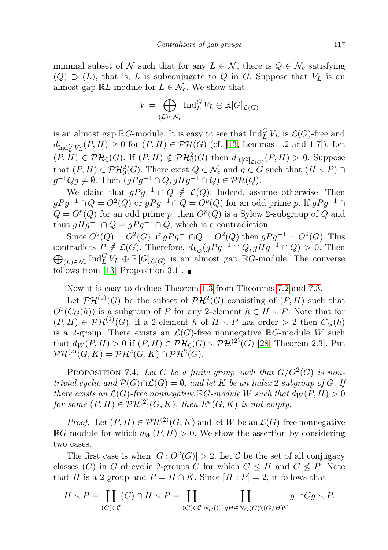minimal subset of N such that for any  $L \in \mathcal{N}$ , there is  $Q \in \mathcal{N}_c$  satisfying  $(Q) \supset (L)$ , that is, L is subconjugate to Q in G. Suppose that  $V_L$  is an almost gap  $\mathbb{R}L$ -module for  $L \in \mathcal{N}_c$ . We show that

$$
V = \bigoplus_{(L)\in\mathcal{N}_c} \operatorname{Ind}_L^G V_L \oplus \mathbb{R}[G]_{\mathcal{L}(G)}
$$

is an almost gap  $\mathbb{R}G$ -module. It is easy to see that  $\text{Ind}_{L}^{G}V_{L}$  is  $\mathcal{L}(G)$ -free and  $d_{\text{Ind}_{L}^{G}V_{L}}(P,H) \ge 0$  for  $(P,H) \in \mathcal{PH}(G)$  (cf. [\[13,](#page-20-11) Lemmas 1.2 and 1.7]). Let  $(P, H) \in \mathcal{PH}_0(G)$ . If  $(P, H) \notin \mathcal{PH}_0^2(G)$  then  $d_{\mathbb{R}[G]_{\mathcal{L}(G)}}(P, H) > 0$ . Suppose that  $(P, H) \in \mathcal{PH}_0^2(G)$ . There exist  $Q \in \mathcal{N}_c$  and  $g \in G$  such that  $(H \setminus P) \cap$  $g^{-1}Qg \neq \emptyset$ . Then  $(gPg^{-1} \cap Q, gHg^{-1} \cap Q) \in \mathcal{PH}(Q)$ .

We claim that  $gPg^{-1} \cap Q \notin \mathcal{L}(Q)$ . Indeed, assume otherwise. Then  $gPg^{-1} \cap Q = O^2(Q)$  or  $gPg^{-1} \cap Q = O^p(Q)$  for an odd prime p. If  $gPg^{-1} \cap Q$  $Q = O^p(Q)$  for an odd prime p, then  $O^p(Q)$  is a Sylow 2-subgroup of Q and thus  $qHq^{-1} \cap Q = qPq^{-1} \cap Q$ , which is a contradiction.

Since  $O^2(Q) = O^2(G)$ , if  $gPg^{-1} \cap Q = O^2(Q)$  then  $gPg^{-1} = O^2(G)$ . This contradicts  $P \notin \mathcal{L}(G)$ . Therefore,  $d_{V_Q}(gPg^{-1} \cap Q, gHg^{-1} \cap Q) > 0$ . Then  $\bigoplus_{(L)\in\mathcal{N}_c} \text{Ind}_{L}^G V_L \oplus \mathbb{R}[G]_{\mathcal{L}(G)}$  is an almost gap  $\mathbb{R}G$ -module. The converse follows from [\[13,](#page-20-11) Proposition 3.1].  $\blacksquare$ 

Now it is easy to deduce Theorem [1.3](#page-2-0) from Theorems [7.2](#page-14-1) and [7.3.](#page-15-0)

Let  $\mathcal{PH}^{(2)}(G)$  be the subset of  $\mathcal{PH}^2(G)$  consisting of  $(P, H)$  such that  $O^2(C_G(h))$  is a subgroup of P for any 2-element  $h \in H \setminus P$ . Note that for  $(P, H) \in \mathcal{PH}^{(2)}(G)$ , if a 2-element h of  $H \setminus P$  has order  $> 2$  then  $C_G(h)$ is a 2-group. There exists an  $\mathcal{L}(G)$ -free nonnegative  $\mathbb{R}G$ -module W such that  $d_W(P, H) > 0$  if  $(P, H) \in \mathcal{PH}_0(G) \setminus \mathcal{PH}^{(2)}(G)$  [\[28,](#page-20-15) Theorem 2.3]. Put  $\mathcal{PH}^{(2)}(G,K)=\mathcal{PH}^2(G,K)\cap \mathcal{PH}^2(G).$ 

PROPOSITION 7.4. Let G be a finite group such that  $G/O^2(G)$  is nontrivial cyclic and  $\mathcal{P}(G) \cap \mathcal{L}(G) = \emptyset$ , and let K be an index 2 subgroup of G. If there exists an  $\mathcal{L}(G)$ -free nonnegative  $\mathbb{R}G$ -module W such that  $d_W(P,H) > 0$ for some  $(P, H) \in \mathcal{PH}^{(2)}(G, K)$ , then  $E^{o}(G, K)$  is not empty.

*Proof.* Let  $(P, H) \in \mathcal{PH}^{(2)}(G, K)$  and let W be an  $\mathcal{L}(G)$ -free nonnegative  $\mathbb{R}$ G-module for which  $d_W(P, H) > 0$ . We show the assertion by considering two cases.

The first case is when  $[G: O^2(G)] > 2$ . Let C be the set of all conjugacy classes (C) in G of cyclic 2-groups C for which  $C \leq H$  and  $C \nleq P$ . Note that H is a 2-group and  $P = H \cap K$ . Since  $[H : P] = 2$ , it follows that

$$
H \setminus P = \coprod_{(C) \in \mathcal{C}} (C) \cap H \setminus P = \coprod_{(C) \in \mathcal{C}} \coprod_{N_G(C) \circ gH \in N_G(C) \setminus (G/H)^C} g^{-1}Cg \setminus P.
$$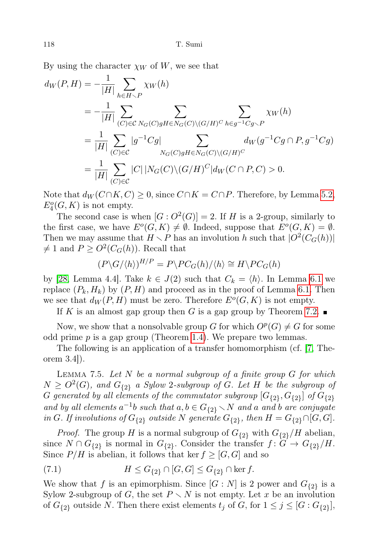By using the character  $\chi_W$  of W, we see that

$$
d_{W}(P,H) = -\frac{1}{|H|} \sum_{h \in H \backslash P} \chi_{W}(h)
$$
  
\n
$$
= -\frac{1}{|H|} \sum_{(C) \in \mathcal{C}} \sum_{N_{G}(C)gH \in N_{G}(C) \backslash (G/H)^{C}} \sum_{h \in g^{-1}Cg \backslash P} \chi_{W}(h)
$$
  
\n
$$
= \frac{1}{|H|} \sum_{(C) \in \mathcal{C}} |g^{-1}Cg| \sum_{N_{G}(C)gH \in N_{G}(C) \backslash (G/H)^{C}} d_{W}(g^{-1}Cg \cap P, g^{-1}Cg)
$$
  
\n
$$
= \frac{1}{|H|} \sum_{(C) \in \mathcal{C}} |C| |N_{G}(C) \backslash (G/H)^{C} |d_{W}(C \cap P, C) > 0.
$$

Note that  $d_W(C \cap K, C) \geq 0$ , since  $C \cap K = C \cap P$ . Therefore, by Lemma [5.2,](#page-9-0)  $E_4^o(G, K)$  is not empty.

The second case is when  $[G: O^2(G)] = 2$ . If H is a 2-group, similarly to the first case, we have  $E^o(G,K) \neq \emptyset$ . Indeed, suppose that  $E^o(G,K) = \emptyset$ . Then we may assume that  $H \setminus P$  has an involution h such that  $|O^2(C_G(h))|$  $\neq$  1 and  $P \geq O^2(C_G(h))$ . Recall that

$$
(P\backslash G/\langle h\rangle)^{H/P} = P\backslash PC_G(h)/\langle h\rangle \cong H\backslash PC_G(h)
$$

by [\[28,](#page-20-15) Lemma 4.4]. Take  $k \in J(2)$  such that  $C_k = \langle h \rangle$ . In Lemma [6.1](#page-12-1) we replace  $(P_k, H_k)$  by  $(P, H)$  and proceed as in the proof of Lemma [6.1.](#page-12-1) Then we see that  $d_W(P, H)$  must be zero. Therefore  $E^o(G, K)$  is not empty.

If K is an almost gap group then G is a gap group by Theorem [7.2.](#page-14-1)  $\blacksquare$ 

Now, we show that a nonsolvable group G for which  $O^p(G) \neq G$  for some odd prime  $p$  is a gap group (Theorem [1.4\)](#page-2-1). We prepare two lemmas.

The following is an application of a transfer homomorphism (cf. [\[7,](#page-19-11) Theorem 3.4]).

<span id="page-17-0"></span>LEMMA 7.5. Let  $N$  be a normal subgroup of a finite group  $G$  for which  $N \geq O^2(G)$ , and  $G_{\{2\}}$  a Sylow 2-subgroup of G. Let H be the subgroup of  $G$  generated by all elements of the commutator subgroup  $[G_{\{2\}},G_{\{2\}}]$  of  $G_{\{2\}}$ and by all elements  $a^{-1}b$  such that  $a, b \in G_{\{2\}} \setminus N$  and a and b are conjugate in G. If involutions of  $G_{\{2\}}$  outside N generate  $G_{\{2\}}$ , then  $H = G_{\{2\}} \cap [G, G]$ .

*Proof.* The group H is a normal subgroup of  $G_{\{2\}}$  with  $G_{\{2\}}/H$  abelian, since  $N \cap G_{\{2\}}$  is normal in  $G_{\{2\}}$ . Consider the transfer  $f: G \to G_{\{2\}}/H$ . Since  $P/H$  is abelian, it follows that ker  $f \geq [G, G]$  and so

<span id="page-17-1"></span>(7.1) 
$$
H \leq G_{\{2\}} \cap [G, G] \leq G_{\{2\}} \cap \ker f.
$$

We show that f is an epimorphism. Since  $[G:N]$  is 2 power and  $G_{\{2\}}$  is a Sylow 2-subgroup of G, the set  $P \setminus N$  is not empty. Let x be an involution of  $G_{\{2\}}$  outside N. Then there exist elements  $t_j$  of G, for  $1 \leq j \leq [G:G_{\{2\}}]$ ,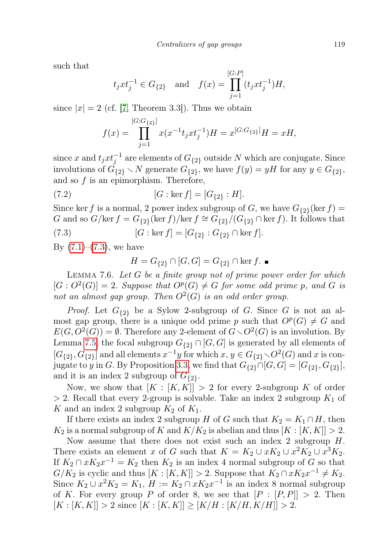such that

$$
t_j x t_j^{-1} \in G_{\{2\}}
$$
 and  $f(x) = \prod_{j=1}^{[G:P]} (t_j x t_j^{-1}) H$ ,

since  $|x| = 2$  (cf. [\[7,](#page-19-11) Theorem 3.3]). Thus we obtain

$$
f(x) = \prod_{j=1}^{[G:G_{\{2\}}]} x(x^{-1}t_jxt_j^{-1})H = x^{[G:G_{\{2\}}]}H = xH,
$$

since x and  $t_j x t_j^{-1}$  are elements of  $G_{\{2\}}$  outside N which are conjugate. Since involutions of  $\tilde{G}_{\{2\}} \setminus N$  generate  $G_{\{2\}}$ , we have  $f(y) = yH$  for any  $y \in G_{\{2\}}$ , and so  $f$  is an epimorphism. Therefore,

(7.2) 
$$
[G:\ker f] = [G_{\{2\}}:H].
$$

Since ker f is a normal, 2 power index subgroup of G, we have  $G_{2}$  (ker f) = G and so  $G/\text{ker } f = G_{\{2\}}(\text{ker } f)/\text{ker } f \cong G_{\{2\}}/(G_{\{2\}} \cap \text{ker } f)$ . It follows that

(7.3) 
$$
[G:\ker f] = [G_{\{2\}}:G_{\{2\}}\cap \ker f].
$$

By  $(7.1)$ – $(7.3)$ , we have

<span id="page-18-0"></span>
$$
H = G_{\{2\}} \cap [G, G] = G_{\{2\}} \cap \ker f. \blacksquare
$$

<span id="page-18-1"></span>LEMMA 7.6. Let  $G$  be a finite group not of prime power order for which  $[G: O^2(G)] = 2$ . Suppose that  $O^p(G) \neq G$  for some odd prime p, and G is not an almost gap group. Then  $O^2(G)$  is an odd order group.

*Proof.* Let  $G_{\{2\}}$  be a Sylow 2-subgroup of G. Since G is not an almost gap group, there is a unique odd prime p such that  $O^p(G) \neq G$  and  $E(G, O^2(G)) = \emptyset$ . Therefore any 2-element of  $G \setminus O^2(G)$  is an involution. By Lemma [7.5,](#page-17-0) the focal subgroup  $G_{\{2\}} \cap [G, G]$  is generated by all elements of  $[G_{2}, G_{2}]$  and all elements  $x^{-1}y$  for which  $x, y \in G_{2} \setminus O^2(G)$  and x is con-jugate to y in G. By Proposition [3.3,](#page-7-2) we find that  $G_{\{2\}} \cap [G, G] = [G_{\{2\}}, G_{\{2\}}],$ and it is an index 2 subgroup of  $G_{\{2\}}$ .

Now, we show that  $[K : [K, K]] > 2$  for every 2-subgroup K of order  $> 2$ . Recall that every 2-group is solvable. Take an index 2 subgroup  $K_1$  of K and an index 2 subgroup  $K_2$  of  $K_1$ .

If there exists an index 2 subgroup H of G such that  $K_2 = K_1 \cap H$ , then  $K_2$  is a normal subgroup of K and  $K/K_2$  is abelian and thus  $[K : [K, K]] > 2$ .

Now assume that there does not exist such an index 2 subgroup H. There exists an element x of G such that  $K = K_2 \cup xK_2 \cup x^2K_2 \cup x^3K_2$ . If  $K_2 \cap xK_2x^{-1} = K_2$  then  $K_2$  is an index 4 normal subgroup of G so that  $G/K_2$  is cyclic and thus  $[K : [K, K]] > 2$ . Suppose that  $K_2 \cap xK_2x^{-1} \neq K_2$ . Since  $K_2 \cup x^2 K_2 = K_1$ ,  $H := K_2 \cap xK_2x^{-1}$  is an index 8 normal subgroup of K. For every group P of order 8, we see that  $[P : [P, P]] > 2$ . Then  $[K : [K, K]] > 2$  since  $[K : [K, K]] \geq [K/H : [K/H, K/H]] > 2$ .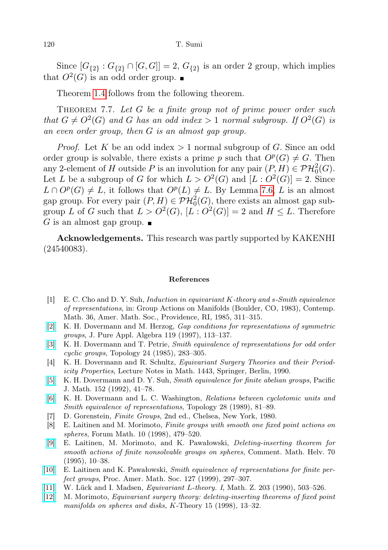Since  $[G_{2} : G_{2} \cap [G, G]] = 2, G_{2}$  is an order 2 group, which implies that  $O^2(G)$  is an odd order group.

Theorem [1.4](#page-2-1) follows from the following theorem.

THEOREM 7.7. Let  $G$  be a finite group not of prime power order such that  $G \neq O^2(G)$  and G has an odd index > 1 normal subgroup. If  $O^2(G)$  is an even order group, then G is an almost gap group.

*Proof.* Let K be an odd index  $> 1$  normal subgroup of G. Since an odd order group is solvable, there exists a prime p such that  $O^p(G) \neq G$ . Then any 2-element of H outside P is an involution for any pair  $(P, H) \in \mathcal{PH}_0^2(G)$ . Let L be a subgroup of G for which  $L > O^2(G)$  and  $[L: O^2(G)] = 2$ . Since  $L \cap O^p(G) \neq L$ , it follows that  $O^p(L) \neq L$ . By Lemma [7.6,](#page-18-1) L is an almost gap group. For every pair  $(P, H) \in \mathcal{PH}^2_0(G)$ , there exists an almost gap subgroup L of G such that  $L > O^2(G)$ ,  $[L: O^2(G)] = 2$  and  $H \leq L$ . Therefore G is an almost gap group.  $\blacksquare$ 

Acknowledgements. This research was partly supported by KAKENHI (24540083).

## References

- <span id="page-19-4"></span>[1] E. C. Cho and D. Y. Suh, Induction in equivariant K-theory and s-Smith equivalence of representations, in: Group Actions on Manifolds (Boulder, CO, 1983), Contemp. Math. 36, Amer. Math. Soc., Providence, RI, 1985, 311–315.
- <span id="page-19-9"></span>[\[2\]](http://dx.doi.org/10.1016/S0022-4049(96)00019-9) K. H. Dovermann and M. Herzog, Gap conditions for representations of symmetric groups, J. Pure Appl. Algebra 119 (1997), 113–137.
- <span id="page-19-5"></span>[\[3\]](http://dx.doi.org/10.1016/0040-9383(85)90003-5) K. H. Dovermann and T. Petrie, Smith equivalence of representations for odd order cyclic groups, Topology 24 (1985), 283–305.
- <span id="page-19-0"></span>[4] K. H. Dovermann and R. Schultz, Equivariant Surgery Theories and their Periodicity Properties, Lecture Notes in Math. 1443, Springer, Berlin, 1990.
- <span id="page-19-7"></span>[\[5\]](http://dx.doi.org/10.2140/pjm.1992.152.41) K. H. Dovermann and D. Y. Suh, Smith equivalence for finite abelian groups, Pacific J. Math. 152 (1992), 41–78.
- <span id="page-19-6"></span>[\[6\]](http://dx.doi.org/10.1016/0040-9383(89)90033-5) K. H. Dovermann and L. C. Washington, Relations between cyclotomic units and Smith equivalence of representations, Topology 28 (1989), 81–89.
- <span id="page-19-11"></span>[7] D. Gorenstein, Finite Groups, 2nd ed., Chelsea, New York, 1980.
- <span id="page-19-10"></span>[8] E. Laitinen and M. Morimoto, Finite groups with smooth one fixed point actions on spheres, Forum Math. 10 (1998), 479–520.
- <span id="page-19-8"></span>[\[9\]](http://dx.doi.org/10.1007/BF02565998) E. Laitinen, M. Morimoto, and K. Pawałowski, Deleting-inserting theorem for smooth actions of finite nonsolvable groups on spheres, Comment. Math. Helv. 70 (1995), 10–38.
- <span id="page-19-3"></span>[\[10\]](http://dx.doi.org/10.1090/S0002-9939-99-04544-X) E. Laitinen and K. Pawałowski, Smith equivalence of representations for finite perfect groups, Proc. Amer. Math. Soc. 127 (1999), 297–307.
- <span id="page-19-1"></span>[\[11\]](http://dx.doi.org/10.1007/BF02570753) W. Lück and I. Madsen, Equivariant L-theory. I, Math. Z. 203 (1990), 503–526.
- <span id="page-19-2"></span>[\[12\]](http://dx.doi.org/10.1023/A:1007710504681) M. Morimoto, Equivariant surgery theory: deleting-inserting theorems of fixed point manifolds on spheres and disks, K-Theory 15 (1998), 13–32.